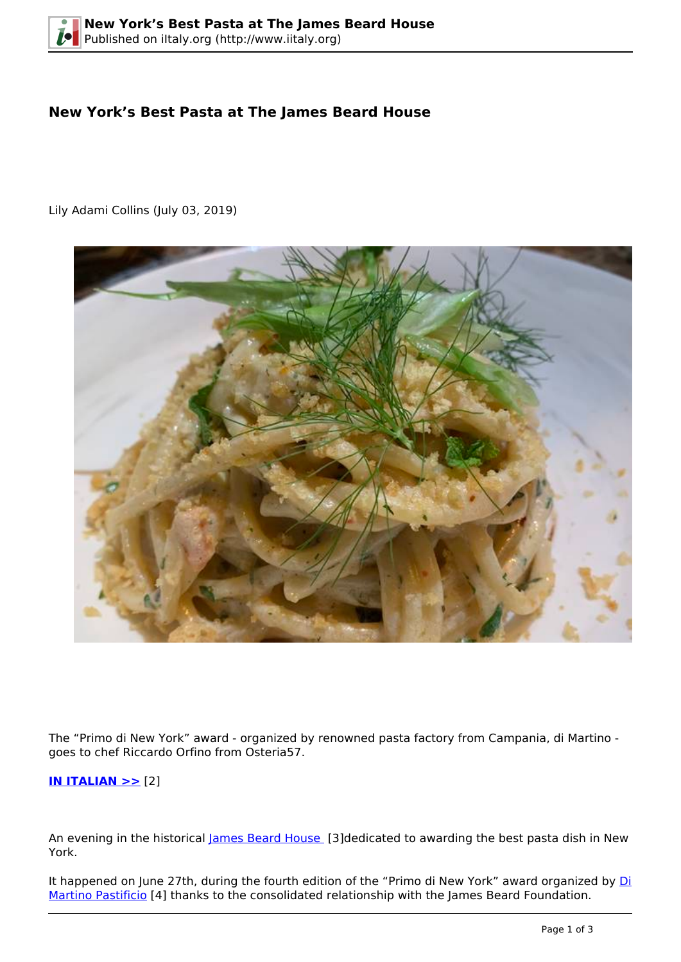## **New York's Best Pasta at The James Beard House**

Lily Adami Collins (July 03, 2019)



The "Primo di New York" award - organized by renowned pasta factory from Campania, di Martino goes to chef Riccardo Orfino from Osteria57.

**[IN ITALIAN >>](http://iitaly.org/node/55352)** [2]

An evening in the historical [James Beard House](http://www.jamesbeard.org) [3]dedicated to awarding the best pasta dish in New York.

It happened on June 27th, during the fourth edition of the "Primo di New York" award organized by [Di](http://www.pastadimartino.com) [Martino Pastificio](http://www.pastadimartino.com) [4] thanks to the consolidated relationship with the James Beard Foundation.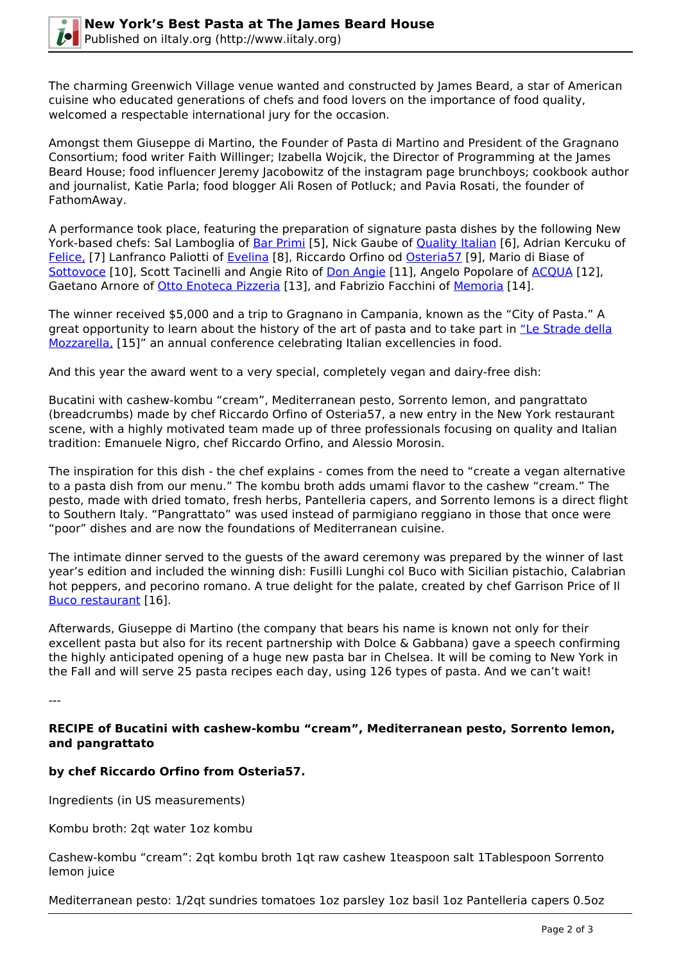

The charming Greenwich Village venue wanted and constructed by James Beard, a star of American cuisine who educated generations of chefs and food lovers on the importance of food quality, welcomed a respectable international jury for the occasion.

Amongst them Giuseppe di Martino, the Founder of Pasta di Martino and President of the Gragnano Consortium; food writer Faith Willinger; Izabella Wojcik, the Director of Programming at the James Beard House; food influencer Jeremy Jacobowitz of the instagram page brunchboys; cookbook author and journalist, Katie Parla; food blogger Ali Rosen of Potluck; and Pavia Rosati, the founder of FathomAway.

A performance took place, featuring the preparation of signature pasta dishes by the following New York-based chefs: Sal Lamboglia of [Bar Primi](http://barprimi.com/) [5], Nick Gaube of **Quality Italian** [6], Adrian Kercuku of [Felice,](https://www.felicenyc.com/) [7] Lanfranco Paliotti of [Evelina](http://www.evelinabk.com) [8], Riccardo Orfino od [Osteria57](https://osteria57.com) [9], Mario di Biase of [Sottovoce](http://sottovocerestaurant.com) [10], Scott Tacinelli and Angie Rito of [Don Angie](https://www.donangie.com/) [11], Angelo Popolare of [ACQUA](https://www.acquarestaurantnyc.com/) [12], Gaetano Arnore of [Otto Enoteca Pizzeria](https://ny.ottopizzeria.com/) [13], and Fabrizio Facchini of [Memoria](https://www.memorianyc.com/) [14].

The winner received \$5,000 and a trip to Gragnano in Campania, known as the "City of Pasta." A great opportunity to learn about the history of the art of pasta and to take part in ["Le Strade della](https://www.lsdm.it/) [Mozzarella,](https://www.lsdm.it/) [15]" an annual conference celebrating Italian excellencies in food.

And this year the award went to a very special, completely vegan and dairy-free dish:

Bucatini with cashew-kombu "cream", Mediterranean pesto, Sorrento lemon, and pangrattato (breadcrumbs) made by chef Riccardo Orfino of Osteria57, a new entry in the New York restaurant scene, with a highly motivated team made up of three professionals focusing on quality and Italian tradition: Emanuele Nigro, chef Riccardo Orfino, and Alessio Morosin.

The inspiration for this dish - the chef explains - comes from the need to "create a vegan alternative to a pasta dish from our menu." The kombu broth adds umami flavor to the cashew "cream." The pesto, made with dried tomato, fresh herbs, Pantelleria capers, and Sorrento lemons is a direct flight to Southern Italy. "Pangrattato" was used instead of parmigiano reggiano in those that once were "poor" dishes and are now the foundations of Mediterranean cuisine.

The intimate dinner served to the guests of the award ceremony was prepared by the winner of last year's edition and included the winning dish: Fusilli Lunghi col Buco with Sicilian pistachio, Calabrian hot peppers, and pecorino romano. A true delight for the palate, created by chef Garrison Price of Il [Buco restaurant](https://ilbuco.com) [16].

Afterwards, Giuseppe di Martino (the company that bears his name is known not only for their excellent pasta but also for its recent partnership with Dolce & Gabbana) gave a speech confirming the highly anticipated opening of a huge new pasta bar in Chelsea. It will be coming to New York in the Fall and will serve 25 pasta recipes each day, using 126 types of pasta. And we can't wait!

---

## **RECIPE of Bucatini with cashew-kombu "cream", Mediterranean pesto, Sorrento lemon, and pangrattato**

## **by chef Riccardo Orfino from Osteria57.**

Ingredients (in US measurements)

Kombu broth: 2qt water 1oz kombu

Cashew-kombu "cream": 2qt kombu broth 1qt raw cashew 1teaspoon salt 1Tablespoon Sorrento lemon juice

Mediterranean pesto: 1/2qt sundries tomatoes 1oz parsley 1oz basil 1oz Pantelleria capers 0.5oz